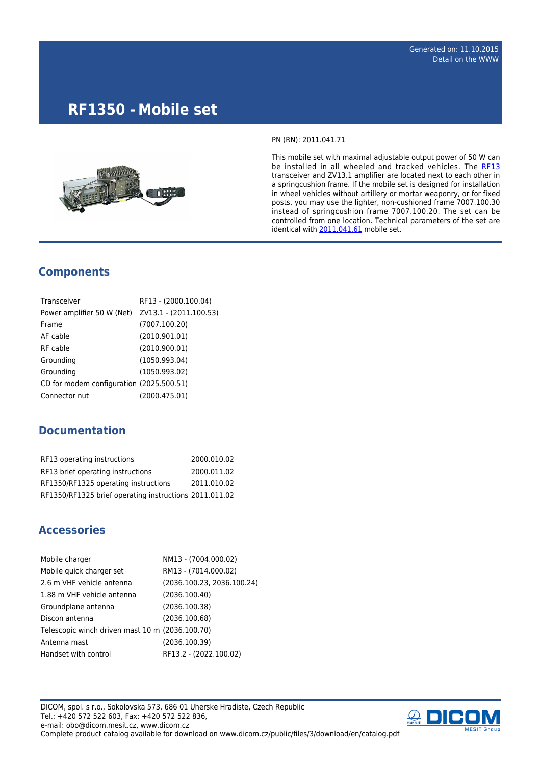# **RF1350 - Mobile set**



PN (RN): 2011.041.71

This mobile set with maximal adjustable output power of 50 W can be installed in all wheeled and tracked vehicles. The [RF13](http://www.dicom.cz/en/product/634-transciever) transceiver and ZV13.1 amplifier are located next to each other in a springcushion frame. If the mobile set is designed for installation in wheel vehicles without artillery or mortar weaponry, or for fixed posts, you may use the lighter, non-cushioned frame 7007.100.30 instead of springcushion frame 7007.100.20. The set can be controlled from one location. Technical parameters of the set are identical with [2011.041.61](http://www.mesit.cz/admin/3/struktura/35/kategorie_produkty/1238/edit_objekt/625/%5C%22http://www.mesit.cz/admin/3/struktura/35/kategorie_produkty/1238/edit_objekt/%5C%22http://www.mesit.cz/admin/3/struktura/35/kategorie_produkty/1238/edit_objekt/625/%5C%22http://www.mesit.cz/admin/3/struktura/35/kategorie_produkty/1238/edit_objekt/%5C%22http://www.mesit.cz/admin/3/struktura/35/kategorie_produkty/1238/edit_objekt/625/%5C%22http://www.mesit.cz/admin/3/struktura/35/kategorie_produkty/1238/edit_objekt/%5C%22http://www.mesit.cz/admin/3/struktura/35/kategorie_produkty/1238/edit_objekt/625/%5C%22http://www.mesit.cz/admin/3/struktura/35/kategorie_produkty/1238/edit_objekt/625/%5C%22http://www.mesit.cz/admin/3/struktura/35/kategorie_produkty/1238/edit_objekt/625/%5C%22http://www.mesit.cz/admin/3/struktura/35/kategorie_produkty/619/edit_objekt/625/%5C%22http://www.mesit.cz/admin/3/struktura/35/kategorie_produkty/619/edit_objekt/625/%5C%22http://www.dicom.cz/en/product/621-mobile-set%5C%22%5C%22%5C%22%5C%22%5C%22%5C%22%5C%22%5C%22%5C%22%5C%22%5C%22) mobile set.

#### **Components**

| Transceiver                                       | RF13 - (2000.100.04) |
|---------------------------------------------------|----------------------|
| Power amplifier 50 W (Net) ZV13.1 - (2011.100.53) |                      |
| Frame                                             | (7007.100.20)        |
| AF cable                                          | (2010.901.01)        |
| RF cable                                          | (2010.900.01)        |
| Grounding                                         | (1050.993.04)        |
| Grounding                                         | (1050.993.02)        |
| CD for modem configuration (2025.500.51)          |                      |
| Connector nut                                     | (2000.475.01)        |

#### **Documentation**

| RF13 operating instructions                            | 2000.010.02 |
|--------------------------------------------------------|-------------|
| RF13 brief operating instructions                      | 2000.011.02 |
| RF1350/RF1325 operating instructions                   | 2011.010.02 |
| RF1350/RF1325 brief operating instructions 2011.011.02 |             |

### **Accessories**

| Mobile charger                                  | NM13 - (7004.000.02)       |
|-------------------------------------------------|----------------------------|
| Mobile quick charger set                        | RM13 - (7014.000.02)       |
| 2.6 m VHF vehicle antenna                       | (2036.100.23, 2036.100.24) |
| 1.88 m VHF vehicle antenna                      | (2036.100.40)              |
| Groundplane antenna                             | (2036.100.38)              |
| Discon antenna                                  | (2036, 100.68)             |
| Telescopic winch driven mast 10 m (2036.100.70) |                            |
| Antenna mast                                    | (2036.100.39)              |
| Handset with control                            | RF13.2 - (2022.100.02)     |